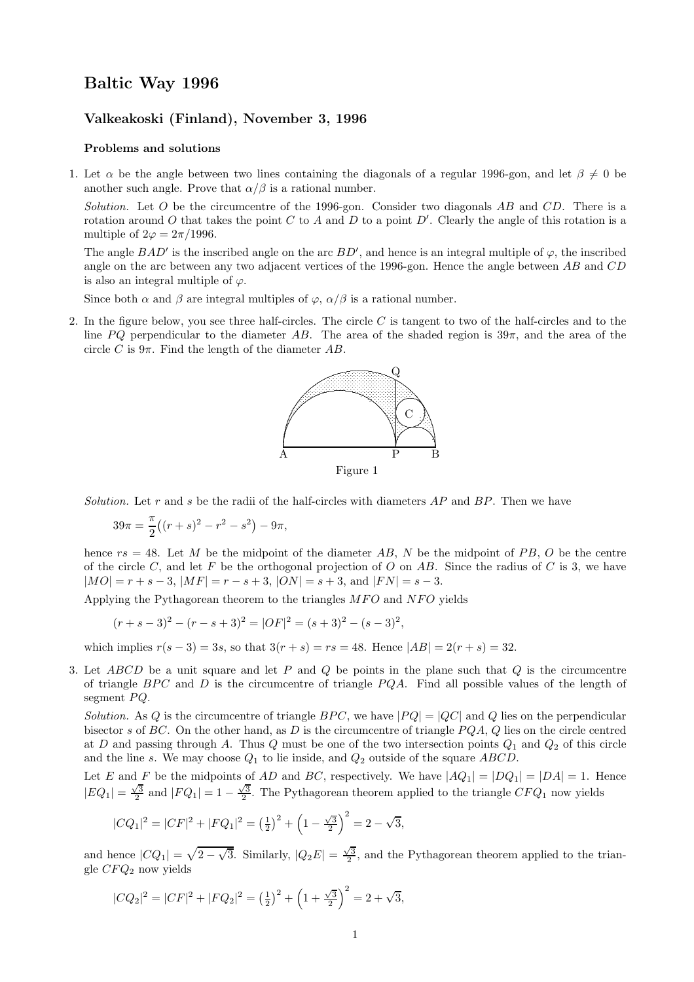## Baltic Way 1996

## Valkeakoski (Finland), November 3, 1996

## Problems and solutions

1. Let  $\alpha$  be the angle between two lines containing the diagonals of a regular 1996-gon, and let  $\beta \neq 0$  be another such angle. Prove that  $\alpha/\beta$  is a rational number.

Solution. Let O be the circumcentre of the 1996-gon. Consider two diagonals AB and CD. There is a rotation around O that takes the point C to A and D to a point D'. Clearly the angle of this rotation is a multiple of  $2\varphi = 2\pi/1996$ .

The angle  $BAD'$  is the inscribed angle on the arc  $BD'$ , and hence is an integral multiple of  $\varphi$ , the inscribed angle on the arc between any two adjacent vertices of the 1996-gon. Hence the angle between AB and CD is also an integral multiple of  $\varphi$ .

Since both  $\alpha$  and  $\beta$  are integral multiples of  $\varphi$ ,  $\alpha/\beta$  is a rational number.

2. In the figure below, you see three half-circles. The circle  $C$  is tangent to two of the half-circles and to the line PQ perpendicular to the diameter AB. The area of the shaded region is  $39\pi$ , and the area of the circle C is  $9\pi$ . Find the length of the diameter AB.



Solution. Let r and s be the radii of the half-circles with diameters  $AP$  and  $BP$ . Then we have

$$
39\pi = \frac{\pi}{2}((r+s)^2 - r^2 - s^2) - 9\pi,
$$

hence  $rs = 48$ . Let M be the midpoint of the diameter AB, N be the midpoint of PB, O be the centre of the circle  $C$ , and let  $F$  be the orthogonal projection of  $O$  on  $AB$ . Since the radius of  $C$  is 3, we have  $|MO| = r + s - 3$ ,  $|MF| = r - s + 3$ ,  $|ON| = s + 3$ , and  $|FN| = s - 3$ .

Applying the Pythagorean theorem to the triangles  $MFO$  and  $NFO$  yields

$$
(r + s - 3)2 - (r - s + 3)2 = |OF|2 = (s + 3)2 - (s - 3)2,
$$

which implies  $r(s - 3) = 3s$ , so that  $3(r + s) = rs = 48$ . Hence  $|AB| = 2(r + s) = 32$ .

3. Let ABCD be a unit square and let P and Q be points in the plane such that  $Q$  is the circumcentre of triangle  $BPC$  and  $D$  is the circumcentre of triangle  $PQA$ . Find all possible values of the length of segment  $PQ$ .

Solution. As Q is the circumcentre of triangle  $BPC$ , we have  $|PQ| = |QC|$  and Q lies on the perpendicular bisector s of BC. On the other hand, as D is the circumcentre of triangle  $PQA$ , Q lies on the circle centred at D and passing through A. Thus Q must be one of the two intersection points  $Q_1$  and  $Q_2$  of this circle and the line s. We may choose  $Q_1$  to lie inside, and  $Q_2$  outside of the square ABCD.

Let E and F be the midpoints of AD and BC, respectively. We have 
$$
|AQ_1| = |DQ_1| = |DA| = 1
$$
. Hence  $|EQ_1| = \frac{\sqrt{3}}{2}$  and  $|FQ_1| = 1 - \frac{\sqrt{3}}{2}$ . The Pythagorean theorem applied to the triangle  $CFQ_1$  now yields

$$
|CQ_1|^2 = |CF|^2 + |FQ_1|^2 = \left(\frac{1}{2}\right)^2 + \left(1 - \frac{\sqrt{3}}{2}\right)^2 = 2 - \sqrt{3},
$$

and hence  $|CQ_1| = \sqrt{2-\sqrt{3}}$ . Similarly,  $|Q_2E| = \frac{\sqrt{3}}{2}$ , and the Pythagorean theorem applied to the triangle  $CFQ_2$  now yields

$$
|CQ_2|^2 = |CF|^2 + |FQ_2|^2 = \left(\frac{1}{2}\right)^2 + \left(1 + \frac{\sqrt{3}}{2}\right)^2 = 2 + \sqrt{3},
$$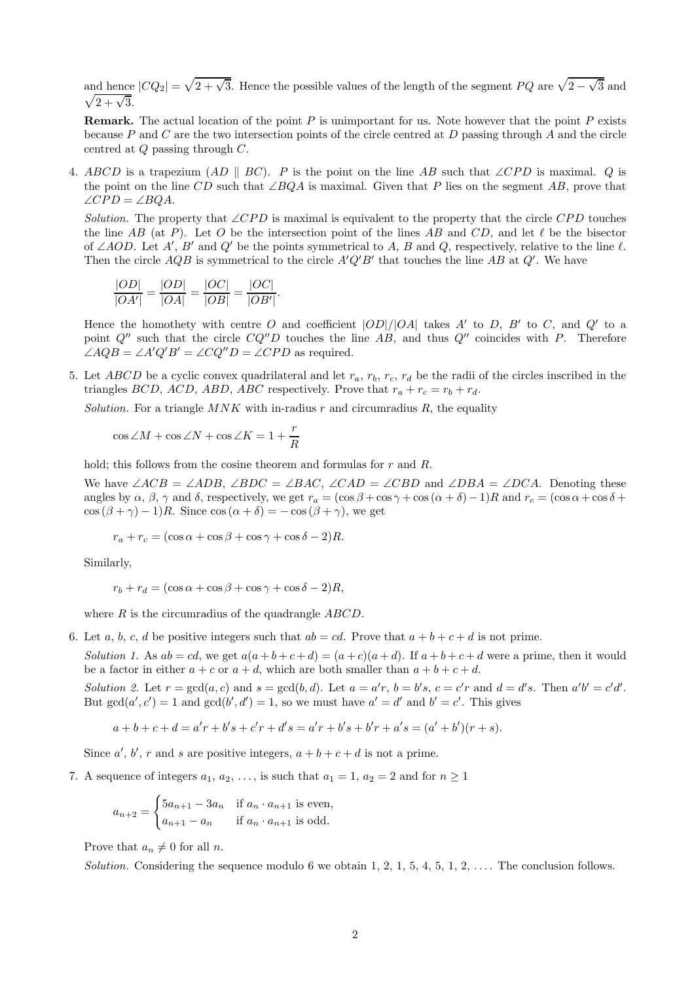and hence  $|CQ_2| = \sqrt{2 + \sqrt{3}}$ . Hence the possible values of the length of the segment PQ are  $\sqrt{2 - \sqrt{3}}$  and  $\sqrt{2 + \sqrt{3}}$ .

**Remark.** The actual location of the point  $P$  is unimportant for us. Note however that the point  $P$  exists because P and C are the two intersection points of the circle centred at D passing through A and the circle centred at Q passing through C.

4. ABCD is a trapezium (AD || BC). P is the point on the line AB such that ∠CPD is maximal. Q is the point on the line CD such that ∠BQA is maximal. Given that P lies on the segment AB, prove that  $\angle CPD = \angle BOA$ .

Solution. The property that ∠CPD is maximal is equivalent to the property that the circle CPD touches the line AB (at P). Let O be the intersection point of the lines AB and CD, and let  $\ell$  be the bisector of ∠AOD. Let A', B' and Q' be the points symmetrical to A, B and Q, respectively, relative to the line  $\ell$ . Then the circle  $AQB$  is symmetrical to the circle  $A'Q'B'$  that touches the line AB at  $Q'$ . We have

$$
\frac{|OD|}{|OA'|} = \frac{|OD|}{|OA|} = \frac{|OC|}{|OB|} = \frac{|OC|}{|OB'|}.
$$

Hence the homothety with centre O and coefficient  $|OD|/|OA|$  takes A' to D, B' to C, and Q' to a point  $Q''$  such that the circle  $CQ''D$  touches the line AB, and thus  $Q''$  coincides with P. Therefore  $\angle AQB = \angle A'Q'B' = \angle CQ''D = \angle CPD$  as required.

5. Let ABCD be a cyclic convex quadrilateral and let  $r_a$ ,  $r_b$ ,  $r_c$ ,  $r_d$  be the radii of the circles inscribed in the triangles BCD, ACD, ABD, ABC respectively. Prove that  $r_a + r_c = r_b + r_d$ .

Solution. For a triangle  $MNK$  with in-radius r and circumradius R, the equality

$$
\cos\angle M + \cos\angle N + \cos\angle K = 1 + \frac{r}{R}
$$

hold; this follows from the cosine theorem and formulas for r and R.

We have  $\angle ACB = \angle ADB$ ,  $\angle BDC = \angle BAC$ ,  $\angle CAD = \angle CBD$  and  $\angle DBA = \angle DCA$ . Denoting these angles by  $\alpha$ ,  $\beta$ ,  $\gamma$  and  $\delta$ , respectively, we get  $r_a = (\cos \beta + \cos \gamma + \cos (\alpha + \delta) - 1)R$  and  $r_c = (\cos \alpha + \cos \delta +$  $\cos (\beta + \gamma) - 1)R$ . Since  $\cos (\alpha + \delta) = -\cos (\beta + \gamma)$ , we get

 $r_a + r_c = (\cos \alpha + \cos \beta + \cos \gamma + \cos \delta - 2)R$ .

Similarly,

$$
r_b + r_d = (\cos \alpha + \cos \beta + \cos \gamma + \cos \delta - 2)R,
$$

where  $R$  is the circumradius of the quadrangle  $ABCD$ .

6. Let a, b, c, d be positive integers such that  $ab = cd$ . Prove that  $a + b + c + d$  is not prime.

Solution 1. As  $ab = cd$ , we get  $a(a+b+c+d) = (a+c)(a+d)$ . If  $a+b+c+d$  were a prime, then it would be a factor in either  $a + c$  or  $a + d$ , which are both smaller than  $a + b + c + d$ .

Solution 2. Let  $r = \gcd(a, c)$  and  $s = \gcd(b, d)$ . Let  $a = a'r$ ,  $b = b's$ ,  $c = c'r$  and  $d = d's$ . Then  $a'b' = c'd'$ . But  $gcd(a', c') = 1$  and  $gcd(b', d') = 1$ , so we must have  $a' = d'$  and  $b' = c'$ . This gives

$$
a+b+c+d = a'r + b's + c'r + d's = a'r + b's + b'r + a's = (a'+b')(r+s).
$$

Since  $a'$ ,  $b'$ ,  $r$  and  $s$  are positive integers,  $a + b + c + d$  is not a prime.

7. A sequence of integers  $a_1, a_2, \ldots$ , is such that  $a_1 = 1, a_2 = 2$  and for  $n \ge 1$ 

$$
a_{n+2} = \begin{cases} 5a_{n+1} - 3a_n & \text{if } a_n \cdot a_{n+1} \text{ is even,} \\ a_{n+1} - a_n & \text{if } a_n \cdot a_{n+1} \text{ is odd.} \end{cases}
$$

Prove that  $a_n \neq 0$  for all *n*.

Solution. Considering the sequence modulo 6 we obtain 1, 2, 1, 5, 4, 5, 1, 2, ... The conclusion follows.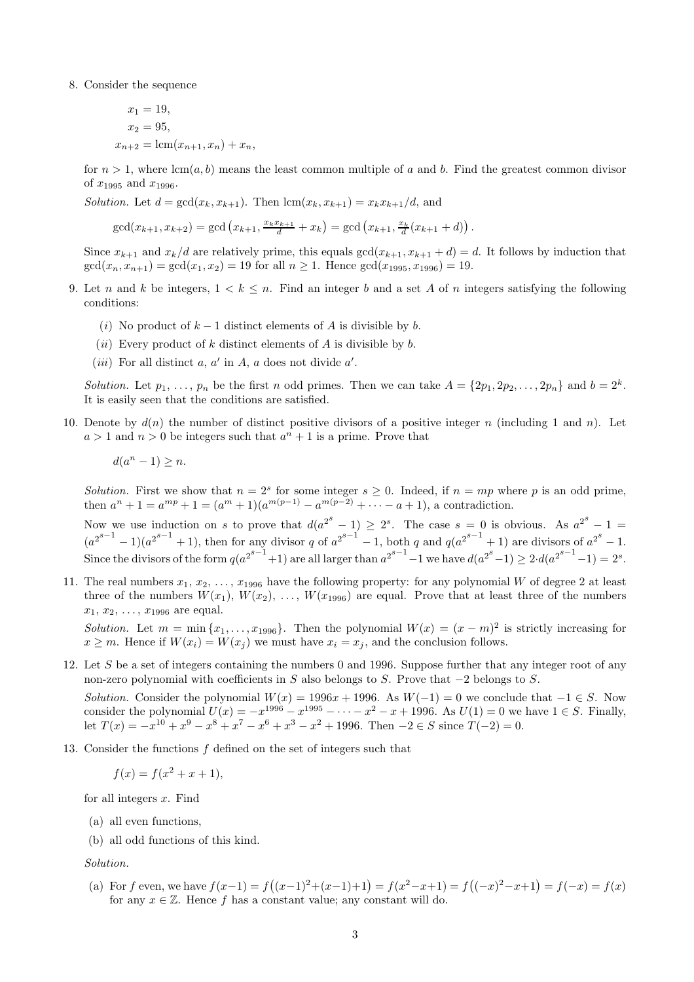8. Consider the sequence

$$
x_1 = 19,
$$
  
\n
$$
x_2 = 95,
$$
  
\n
$$
x_{n+2} = \text{lcm}(x_{n+1}, x_n) + x_n,
$$

for  $n > 1$ , where  $lcm(a, b)$  means the least common multiple of a and b. Find the greatest common divisor of  $x_{1995}$  and  $x_{1996}$ .

*Solution.* Let  $d = \gcd(x_k, x_{k+1})$ . Then  $\text{lcm}(x_k, x_{k+1}) = x_k x_{k+1}/d$ , and

$$
\gcd(x_{k+1}, x_{k+2}) = \gcd(x_{k+1}, \frac{x_k x_{k+1}}{d} + x_k) = \gcd(x_{k+1}, \frac{x_k}{d}(x_{k+1} + d)).
$$

Since  $x_{k+1}$  and  $x_k/d$  are relatively prime, this equals  $gcd(x_{k+1}, x_{k+1} + d) = d$ . It follows by induction that  $gcd(x_n, x_{n+1}) = gcd(x_1, x_2) = 19$  for all  $n \ge 1$ . Hence  $gcd(x_{1995}, x_{1996}) = 19$ .

- 9. Let n and k be integers,  $1 \leq k \leq n$ . Find an integer b and a set A of n integers satisfying the following conditions:
	- (i) No product of  $k-1$  distinct elements of A is divisible by b.
	- (*ii*) Every product of k distinct elements of A is divisible by b.
	- (*iii*) For all distinct a,  $a'$  in A, a does not divide  $a'$ .

Solution. Let  $p_1, \ldots, p_n$  be the first n odd primes. Then we can take  $A = \{2p_1, 2p_2, \ldots, 2p_n\}$  and  $b = 2^k$ . It is easily seen that the conditions are satisfied.

10. Denote by  $d(n)$  the number of distinct positive divisors of a positive integer n (including 1 and n). Let  $a > 1$  and  $n > 0$  be integers such that  $a^n + 1$  is a prime. Prove that

$$
d(a^n - 1) \ge n.
$$

Solution. First we show that  $n = 2^s$  for some integer  $s \ge 0$ . Indeed, if  $n = mp$  where p is an odd prime, then  $a^{n} + 1 = a^{mp} + 1 = (a^{m} + 1)(a^{m(p-1)} - a^{m(p-2)} + \cdots - a + 1)$ , a contradiction.

Now we use induction on s to prove that  $d(a^{2^s}-1) \geq 2^s$ . The case  $s=0$  is obvious. As  $a^{2^s}-1=$  $(a^{2^{s-1}}-1)(a^{2^{s-1}}+1)$ , then for any divisor q of  $a^{2^{s-1}}-1$ , both q and  $q(a^{2^{s-1}}+1)$  are divisors of  $a^{2^s}-1$ . Since the divisors of the form  $q(a^{2^{s-1}}+1)$  are all larger than  $a^{2^{s-1}}-1$  we have  $d(a^{2^s}-1) \geq 2 \cdot d(a^{2^{s-1}}-1) = 2^s$ .

11. The real numbers  $x_1, x_2, \ldots, x_{1996}$  have the following property: for any polynomial W of degree 2 at least three of the numbers  $W(x_1), W(x_2), \ldots, W(x_{1996})$  are equal. Prove that at least three of the numbers  $x_1, x_2, \ldots, x_{1996}$  are equal.

Solution. Let  $m = \min\{x_1, \ldots, x_{1996}\}\)$ . Then the polynomial  $W(x) = (x - m)^2$  is strictly increasing for  $x \geq m$ . Hence if  $W(x_i) = W(x_j)$  we must have  $x_i = x_j$ , and the conclusion follows.

12. Let S be a set of integers containing the numbers 0 and 1996. Suppose further that any integer root of any non-zero polynomial with coefficients in S also belongs to S. Prove that  $-2$  belongs to S.

Solution. Consider the polynomial  $W(x) = 1996x + 1996$ . As  $W(-1) = 0$  we conclude that  $-1 \in S$ . Now consider the polynomial  $U(x) = -x^{1996} - x^{1995} - \cdots - x^2 - x + 1996$ . As  $U(1) = 0$  we have  $1 \in S$ . Finally, let  $T(x) = -x^{10} + x^9 - x^8 + x^7 - x^6 + x^3 - x^2 + 1996$ . Then  $-2 \in S$  since  $T(-2) = 0$ .

13. Consider the functions f defined on the set of integers such that

$$
f(x) = f(x^2 + x + 1),
$$

for all integers  $x$ . Find

- (a) all even functions,
- (b) all odd functions of this kind.

Solution.

(a) For f even, we have  $f(x-1) = f((x-1)^2 + (x-1)+1) = f(x^2-x+1) = f((-x)^2-x+1) = f(-x) = f(x)$ for any  $x \in \mathbb{Z}$ . Hence f has a constant value; any constant will do.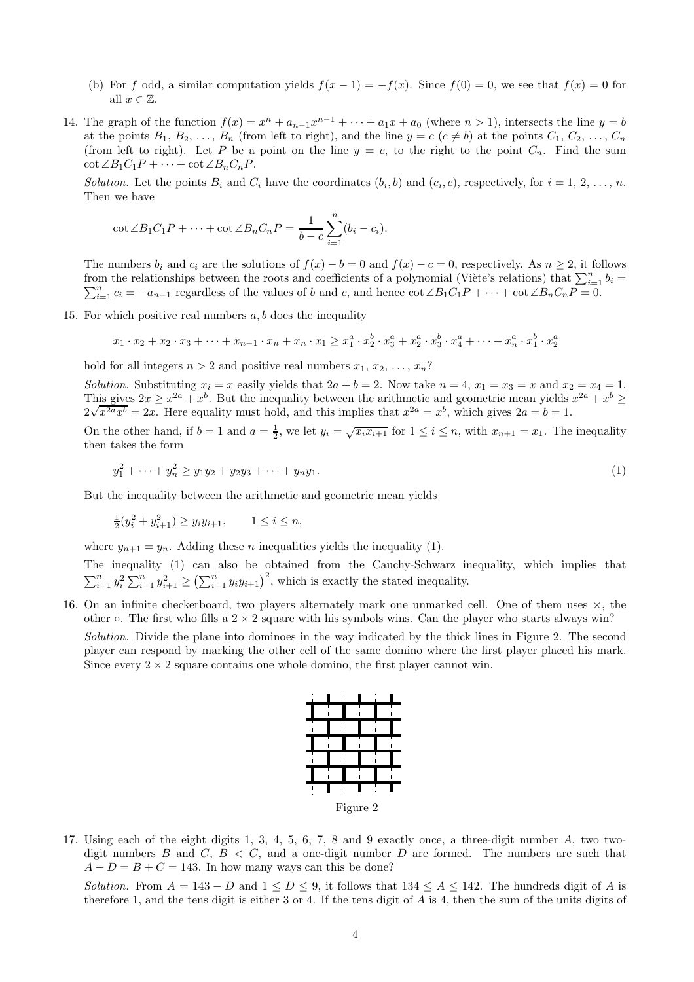- (b) For f odd, a similar computation yields  $f(x-1) = -f(x)$ . Since  $f(0) = 0$ , we see that  $f(x) = 0$  for all  $x \in \mathbb{Z}$ .
- 14. The graph of the function  $f(x) = x^n + a_{n-1}x^{n-1} + \cdots + a_1x + a_0$  (where  $n > 1$ ), intersects the line  $y = b$ at the points  $B_1, B_2, \ldots, B_n$  (from left to right), and the line  $y = c$   $(c \neq b)$  at the points  $C_1, C_2, \ldots, C_n$ (from left to right). Let P be a point on the line  $y = c$ , to the right to the point  $C_n$ . Find the sum  $\cot \angle B_1C_1P + \cdots + \cot \angle B_nC_nP$ .

Solution. Let the points  $B_i$  and  $C_i$  have the coordinates  $(b_i, b)$  and  $(c_i, c)$ , respectively, for  $i = 1, 2, ..., n$ . Then we have

$$
\cot \angle B_1 C_1 P + \cdots + \cot \angle B_n C_n P = \frac{1}{b - c} \sum_{i=1}^n (b_i - c_i).
$$

The numbers  $b_i$  and  $c_i$  are the solutions of  $f(x) - b = 0$  and  $f(x) - c = 0$ , respectively. As  $n \ge 2$ , it follows from the relationships between the roots and coefficients of a polynomial (Viète's relations) that  $\sum_{i=1}^{n} b_i =$  $\sum_{i=1}^{n} c_i = -a_{n-1}$  regardless of the values of b and c, and hence  $\cot \angle B_1C_1P + \cdots + \cot \angle B_nC_nP = 0$ .

15. For which positive real numbers  $a, b$  does the inequality

$$
x_1 \cdot x_2 + x_2 \cdot x_3 + \dots + x_{n-1} \cdot x_n + x_n \cdot x_1 \ge x_1^a \cdot x_2^b \cdot x_3^a + x_2^a \cdot x_3^b \cdot x_4^a + \dots + x_n^a \cdot x_1^b \cdot x_2^a
$$

hold for all integers  $n > 2$  and positive real numbers  $x_1, x_2, \ldots, x_n$ ?

Solution. Substituting  $x_i = x$  easily yields that  $2a + b = 2$ . Now take  $n = 4$ ,  $x_1 = x_3 = x$  and  $x_2 = x_4 = 1$ . This gives  $2x \geq x^{2a} + x^b$ . But the inequality between the arithmetic and geometric mean yields  $x^{2a} + x^b \geq$  $\frac{2\sqrt{x^{2a}x^{b}}}{2x^{2a}x^{b}} = 2x$ . Here equality must hold, and this implies that  $x^{2a} = x^{b}$ , which gives  $2a = b = 1$ .

On the other hand, if  $b = 1$  and  $a = \frac{1}{2}$ , we let  $y_i = \sqrt{x_i x_{i+1}}$  for  $1 \le i \le n$ , with  $x_{n+1} = x_1$ . The inequality then takes the form

$$
y_1^2 + \dots + y_n^2 \ge y_1 y_2 + y_2 y_3 + \dots + y_n y_1. \tag{1}
$$

But the inequality between the arithmetic and geometric mean yields

 $\frac{1}{2}(y_i^2 + y_{i+1}^2) \ge y_i y_{i+1}, \qquad 1 \le i \le n,$ 

where  $y_{n+1} = y_n$ . Adding these *n* inequalities yields the inequality (1).

The inequality (1) can also be obtained from the Cauchy-Schwarz inequality, which implies that  $\sum_{i=1}^n y_i^2 \sum_{i=1}^n y_{i+1}^2 \ge (\sum_{i=1}^n y_i y_{i+1})^2$ , which is exactly the stated inequality.

16. On an infinite checkerboard, two players alternately mark one unmarked cell. One of them uses  $\times$ , the other  $\circ$ . The first who fills a 2  $\times$  2 square with his symbols wins. Can the player who starts always win?

Solution. Divide the plane into dominoes in the way indicated by the thick lines in Figure 2. The second player can respond by marking the other cell of the same domino where the first player placed his mark. Since every  $2 \times 2$  square contains one whole domino, the first player cannot win.



17. Using each of the eight digits 1, 3, 4, 5, 6, 7, 8 and 9 exactly once, a three-digit number A, two twodigit numbers B and C,  $B < C$ , and a one-digit number D are formed. The numbers are such that  $A + D = B + C = 143$ . In how many ways can this be done?

Solution. From  $A = 143 - D$  and  $1 \le D \le 9$ , it follows that  $134 \le A \le 142$ . The hundreds digit of A is therefore 1, and the tens digit is either 3 or 4. If the tens digit of A is 4, then the sum of the units digits of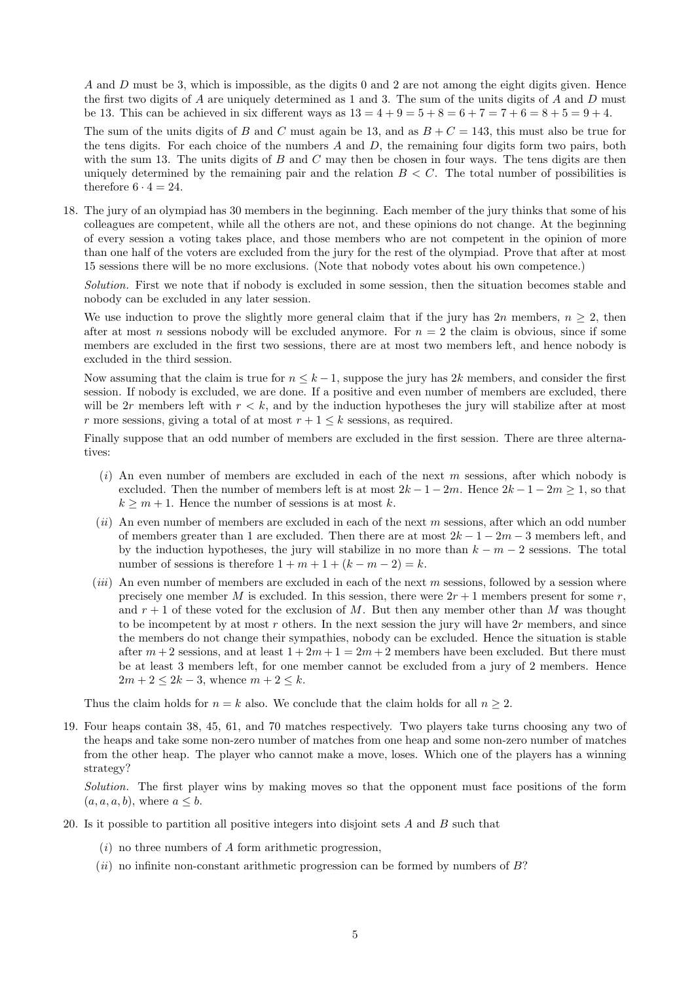A and D must be 3, which is impossible, as the digits 0 and 2 are not among the eight digits given. Hence the first two digits of  $A$  are uniquely determined as 1 and 3. The sum of the units digits of  $A$  and  $D$  must be 13. This can be achieved in six different ways as  $13 = 4 + 9 = 5 + 8 = 6 + 7 = 7 + 6 = 8 + 5 = 9 + 4$ .

The sum of the units digits of B and C must again be 13, and as  $B + C = 143$ , this must also be true for the tens digits. For each choice of the numbers  $A$  and  $D$ , the remaining four digits form two pairs, both with the sum 13. The units digits of  $B$  and  $C$  may then be chosen in four ways. The tens digits are then uniquely determined by the remaining pair and the relation  $B < C$ . The total number of possibilities is therefore  $6 \cdot 4 = 24$ .

18. The jury of an olympiad has 30 members in the beginning. Each member of the jury thinks that some of his colleagues are competent, while all the others are not, and these opinions do not change. At the beginning of every session a voting takes place, and those members who are not competent in the opinion of more than one half of the voters are excluded from the jury for the rest of the olympiad. Prove that after at most 15 sessions there will be no more exclusions. (Note that nobody votes about his own competence.)

Solution. First we note that if nobody is excluded in some session, then the situation becomes stable and nobody can be excluded in any later session.

We use induction to prove the slightly more general claim that if the jury has 2n members,  $n \geq 2$ , then after at most n sessions nobody will be excluded anymore. For  $n = 2$  the claim is obvious, since if some members are excluded in the first two sessions, there are at most two members left, and hence nobody is excluded in the third session.

Now assuming that the claim is true for  $n \leq k-1$ , suppose the jury has 2k members, and consider the first session. If nobody is excluded, we are done. If a positive and even number of members are excluded, there will be 2r members left with  $r < k$ , and by the induction hypotheses the jury will stabilize after at most r more sessions, giving a total of at most  $r + 1 \leq k$  sessions, as required.

Finally suppose that an odd number of members are excluded in the first session. There are three alternatives:

- $(i)$  An even number of members are excluded in each of the next m sessions, after which nobody is excluded. Then the number of members left is at most  $2k - 1 - 2m$ . Hence  $2k - 1 - 2m \ge 1$ , so that  $k \geq m + 1$ . Hence the number of sessions is at most k.
- $(ii)$  An even number of members are excluded in each of the next m sessions, after which an odd number of members greater than 1 are excluded. Then there are at most  $2k - 1 - 2m - 3$  members left, and by the induction hypotheses, the jury will stabilize in no more than  $k - m - 2$  sessions. The total number of sessions is therefore  $1 + m + 1 + (k - m - 2) = k$ .
- (*iii*) An even number of members are excluded in each of the next m sessions, followed by a session where precisely one member M is excluded. In this session, there were  $2r + 1$  members present for some r, and  $r + 1$  of these voted for the exclusion of M. But then any member other than M was thought to be incompetent by at most r others. In the next session the jury will have  $2r$  members, and since the members do not change their sympathies, nobody can be excluded. Hence the situation is stable after  $m+2$  sessions, and at least  $1+2m+1=2m+2$  members have been excluded. But there must be at least 3 members left, for one member cannot be excluded from a jury of 2 members. Hence  $2m + 2 \leq 2k - 3$ , whence  $m + 2 \leq k$ .

Thus the claim holds for  $n = k$  also. We conclude that the claim holds for all  $n \geq 2$ .

19. Four heaps contain 38, 45, 61, and 70 matches respectively. Two players take turns choosing any two of the heaps and take some non-zero number of matches from one heap and some non-zero number of matches from the other heap. The player who cannot make a move, loses. Which one of the players has a winning strategy?

Solution. The first player wins by making moves so that the opponent must face positions of the form  $(a, a, a, b)$ , where  $a \leq b$ .

- 20. Is it possible to partition all positive integers into disjoint sets A and B such that
	- $(i)$  no three numbers of A form arithmetic progression,
	- $(ii)$  no infinite non-constant arithmetic progression can be formed by numbers of  $B$ ?